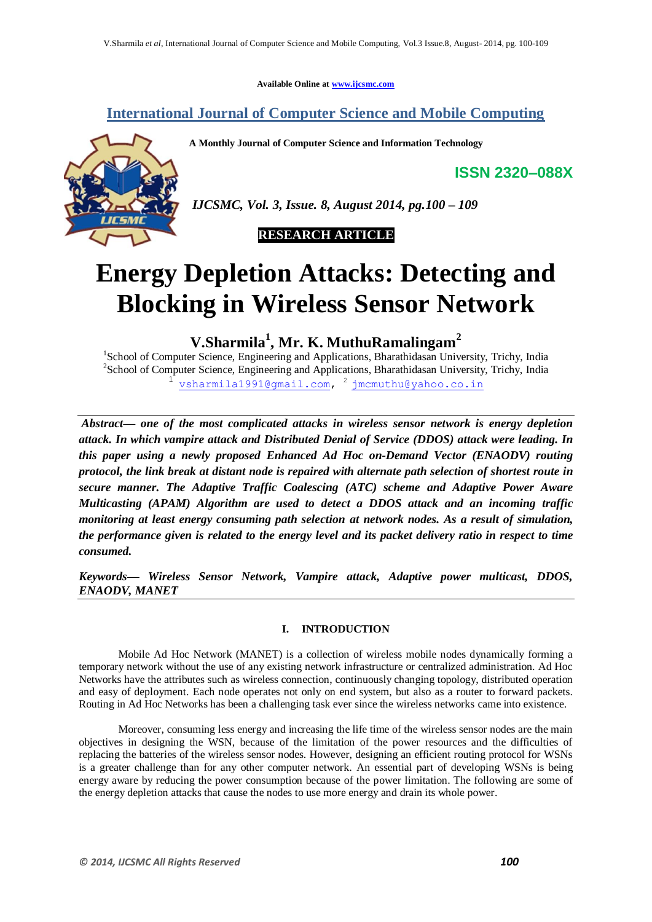**Available Online at www.ijcsmc.com**

# **International Journal of Computer Science and Mobile Computing**

**A Monthly Journal of Computer Science and Information Technology**

**ISSN 2320–088X**



*IJCSMC, Vol. 3, Issue. 8, August 2014, pg.100 – 109*



# **Energy Depletion Attacks: Detecting and Blocking in Wireless Sensor Network**

**V.Sharmila<sup>1</sup> , Mr. K. MuthuRamalingam<sup>2</sup>**

<sup>1</sup>School of Computer Science, Engineering and Applications, Bharathidasan University, Trichy, India <sup>2</sup>School of Computer Science, Engineering and Applications, Bharathidasan University, Trichy, India 1 vsharmila1991@gmail.com, <sup>2</sup> jmcmuthu@yahoo.co.in

*Abstract— one of the most complicated attacks in wireless sensor network is energy depletion attack. In which vampire attack and Distributed Denial of Service (DDOS) attack were leading. In this paper using a newly proposed Enhanced Ad Hoc on-Demand Vector (ENAODV) routing protocol, the link break at distant node is repaired with alternate path selection of shortest route in secure manner. The Adaptive Traffic Coalescing (ATC) scheme and Adaptive Power Aware Multicasting (APAM) Algorithm are used to detect a DDOS attack and an incoming traffic monitoring at least energy consuming path selection at network nodes. As a result of simulation, the performance given is related to the energy level and its packet delivery ratio in respect to time consumed.*

*Keywords— Wireless Sensor Network, Vampire attack, Adaptive power multicast, DDOS, ENAODV, MANET*

# **I. INTRODUCTION**

Mobile Ad Hoc Network (MANET) is a collection of wireless mobile nodes dynamically forming a temporary network without the use of any existing network infrastructure or centralized administration. Ad Hoc Networks have the attributes such as wireless connection, continuously changing topology, distributed operation and easy of deployment. Each node operates not only on end system, but also as a router to forward packets. Routing in Ad Hoc Networks has been a challenging task ever since the wireless networks came into existence.

Moreover, consuming less energy and increasing the life time of the wireless sensor nodes are the main objectives in designing the WSN, because of the limitation of the power resources and the difficulties of replacing the batteries of the wireless sensor nodes. However, designing an efficient routing protocol for WSNs is a greater challenge than for any other computer network. An essential part of developing WSNs is being energy aware by reducing the power consumption because of the power limitation. The following are some of the energy depletion attacks that cause the nodes to use more energy and drain its whole power.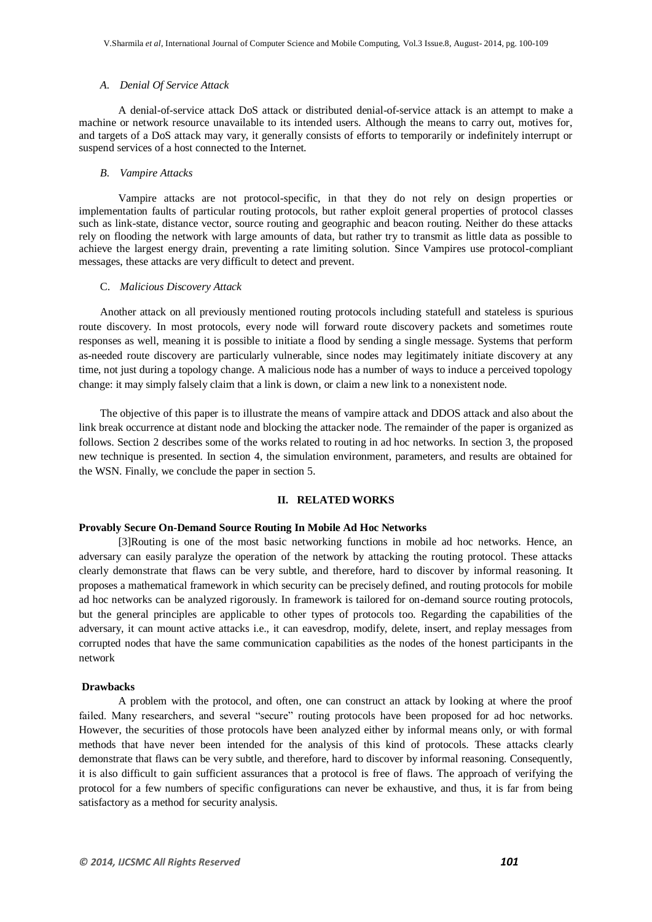#### *A. Denial Of Service Attack*

A denial-of-service attack DoS attack or distributed denial-of-service attack is an attempt to make a machine or network resource unavailable to its intended users. Although the means to carry out, motives for, and targets of a DoS attack may vary, it generally consists of efforts to temporarily or indefinitely interrupt or suspend services of a host connected to the Internet.

#### *B. Vampire Attacks*

Vampire attacks are not protocol-specific, in that they do not rely on design properties or implementation faults of particular routing protocols, but rather exploit general properties of protocol classes such as link-state, distance vector, source routing and geographic and beacon routing. Neither do these attacks rely on flooding the network with large amounts of data, but rather try to transmit as little data as possible to achieve the largest energy drain, preventing a rate limiting solution. Since Vampires use protocol-compliant messages, these attacks are very difficult to detect and prevent.

#### C. *Malicious Discovery Attack*

Another attack on all previously mentioned routing protocols including statefull and stateless is spurious route discovery. In most protocols, every node will forward route discovery packets and sometimes route responses as well, meaning it is possible to initiate a flood by sending a single message. Systems that perform as-needed route discovery are particularly vulnerable, since nodes may legitimately initiate discovery at any time, not just during a topology change. A malicious node has a number of ways to induce a perceived topology change: it may simply falsely claim that a link is down, or claim a new link to a nonexistent node.

The objective of this paper is to illustrate the means of vampire attack and DDOS attack and also about the link break occurrence at distant node and blocking the attacker node. The remainder of the paper is organized as follows. Section 2 describes some of the works related to routing in ad hoc networks. In section 3, the proposed new technique is presented. In section 4, the simulation environment, parameters, and results are obtained for the WSN. Finally, we conclude the paper in section 5.

#### **II. RELATED WORKS**

# **Provably Secure On-Demand Source Routing In Mobile Ad Hoc Networks**

[3]Routing is one of the most basic networking functions in mobile ad hoc networks. Hence, an adversary can easily paralyze the operation of the network by attacking the routing protocol. These attacks clearly demonstrate that flaws can be very subtle, and therefore, hard to discover by informal reasoning. It proposes a mathematical framework in which security can be precisely defined, and routing protocols for mobile ad hoc networks can be analyzed rigorously. In framework is tailored for on-demand source routing protocols, but the general principles are applicable to other types of protocols too. Regarding the capabilities of the adversary, it can mount active attacks i.e., it can eavesdrop, modify, delete, insert, and replay messages from corrupted nodes that have the same communication capabilities as the nodes of the honest participants in the network

#### **Drawbacks**

A problem with the protocol, and often, one can construct an attack by looking at where the proof failed. Many researchers, and several "secure" routing protocols have been proposed for ad hoc networks. However, the securities of those protocols have been analyzed either by informal means only, or with formal methods that have never been intended for the analysis of this kind of protocols. These attacks clearly demonstrate that flaws can be very subtle, and therefore, hard to discover by informal reasoning. Consequently, it is also difficult to gain sufficient assurances that a protocol is free of flaws. The approach of verifying the protocol for a few numbers of specific configurations can never be exhaustive, and thus, it is far from being satisfactory as a method for security analysis.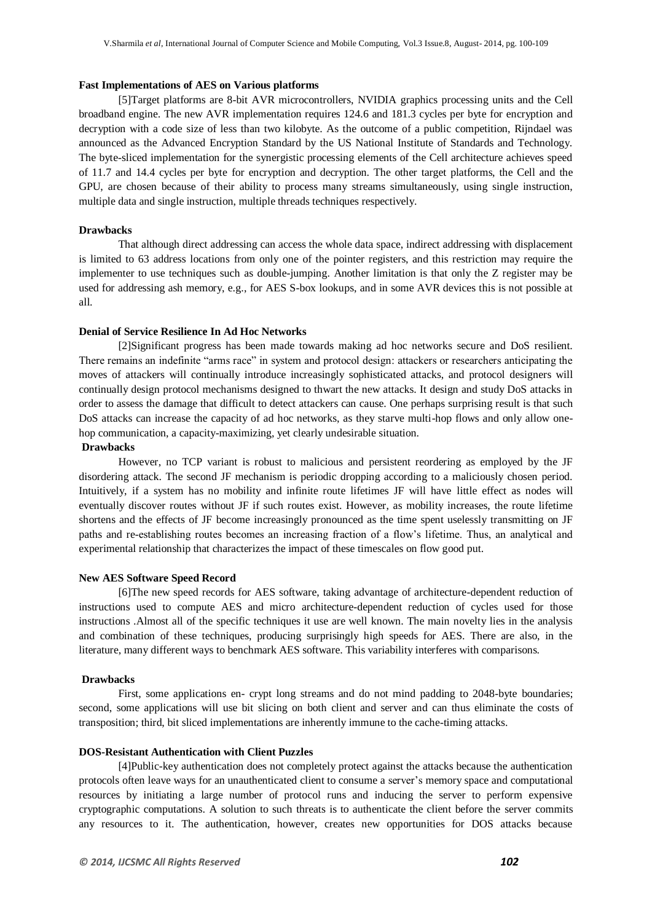#### **Fast Implementations of AES on Various platforms**

[5]Target platforms are 8-bit AVR microcontrollers, NVIDIA graphics processing units and the Cell broadband engine. The new AVR implementation requires 124.6 and 181.3 cycles per byte for encryption and decryption with a code size of less than two kilobyte. As the outcome of a public competition, Rijndael was announced as the Advanced Encryption Standard by the US National Institute of Standards and Technology. The byte-sliced implementation for the synergistic processing elements of the Cell architecture achieves speed of 11.7 and 14.4 cycles per byte for encryption and decryption. The other target platforms, the Cell and the GPU, are chosen because of their ability to process many streams simultaneously, using single instruction, multiple data and single instruction, multiple threads techniques respectively.

#### **Drawbacks**

That although direct addressing can access the whole data space, indirect addressing with displacement is limited to 63 address locations from only one of the pointer registers, and this restriction may require the implementer to use techniques such as double-jumping. Another limitation is that only the Z register may be used for addressing ash memory, e.g., for AES S-box lookups, and in some AVR devices this is not possible at all.

#### **Denial of Service Resilience In Ad Hoc Networks**

[2]Significant progress has been made towards making ad hoc networks secure and DoS resilient. There remains an indefinite "arms race" in system and protocol design: attackers or researchers anticipating the moves of attackers will continually introduce increasingly sophisticated attacks, and protocol designers will continually design protocol mechanisms designed to thwart the new attacks. It design and study DoS attacks in order to assess the damage that difficult to detect attackers can cause. One perhaps surprising result is that such DoS attacks can increase the capacity of ad hoc networks, as they starve multi-hop flows and only allow onehop communication, a capacity-maximizing, yet clearly undesirable situation.

#### **Drawbacks**

However, no TCP variant is robust to malicious and persistent reordering as employed by the JF disordering attack. The second JF mechanism is periodic dropping according to a maliciously chosen period. Intuitively, if a system has no mobility and infinite route lifetimes JF will have little effect as nodes will eventually discover routes without JF if such routes exist. However, as mobility increases, the route lifetime shortens and the effects of JF become increasingly pronounced as the time spent uselessly transmitting on JF paths and re-establishing routes becomes an increasing fraction of a flow's lifetime. Thus, an analytical and experimental relationship that characterizes the impact of these timescales on flow good put.

#### **New AES Software Speed Record**

[6]The new speed records for AES software, taking advantage of architecture-dependent reduction of instructions used to compute AES and micro architecture-dependent reduction of cycles used for those instructions .Almost all of the specific techniques it use are well known. The main novelty lies in the analysis and combination of these techniques, producing surprisingly high speeds for AES. There are also, in the literature, many different ways to benchmark AES software. This variability interferes with comparisons.

#### **Drawbacks**

First, some applications en- crypt long streams and do not mind padding to 2048-byte boundaries; second, some applications will use bit slicing on both client and server and can thus eliminate the costs of transposition; third, bit sliced implementations are inherently immune to the cache-timing attacks.

### **DOS-Resistant Authentication with Client Puzzles**

[4]Public-key authentication does not completely protect against the attacks because the authentication protocols often leave ways for an unauthenticated client to consume a server's memory space and computational resources by initiating a large number of protocol runs and inducing the server to perform expensive cryptographic computations. A solution to such threats is to authenticate the client before the server commits any resources to it. The authentication, however, creates new opportunities for DOS attacks because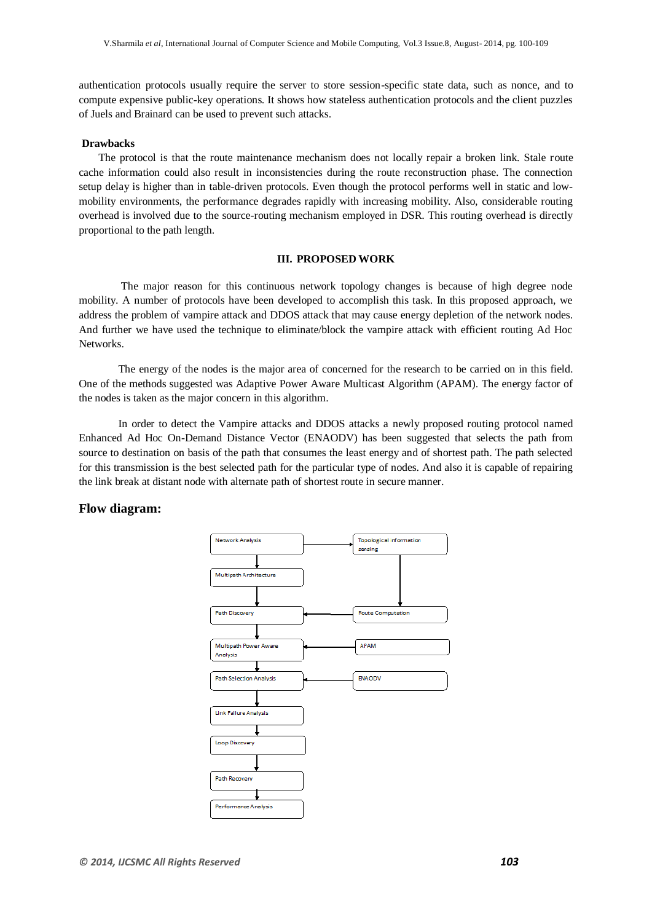authentication protocols usually require the server to store session-specific state data, such as nonce, and to compute expensive public-key operations. It shows how stateless authentication protocols and the client puzzles of Juels and Brainard can be used to prevent such attacks.

#### **Drawbacks**

The protocol is that the route maintenance mechanism does not locally repair a broken link. Stale route cache information could also result in inconsistencies during the route reconstruction phase. The connection setup delay is higher than in table-driven protocols. Even though the protocol performs well in static and lowmobility environments, the performance degrades rapidly with increasing mobility. Also, considerable routing overhead is involved due to the source-routing mechanism employed in DSR. This routing overhead is directly proportional to the path length.

### **III. PROPOSED WORK**

The major reason for this continuous network topology changes is because of high degree node mobility. A number of protocols have been developed to accomplish this task. In this proposed approach, we address the problem of vampire attack and DDOS attack that may cause energy depletion of the network nodes. And further we have used the technique to eliminate/block the vampire attack with efficient routing Ad Hoc Networks.

The energy of the nodes is the major area of concerned for the research to be carried on in this field. One of the methods suggested was Adaptive Power Aware Multicast Algorithm (APAM). The energy factor of the nodes is taken as the major concern in this algorithm.

In order to detect the Vampire attacks and DDOS attacks a newly proposed routing protocol named Enhanced Ad Hoc On-Demand Distance Vector (ENAODV) has been suggested that selects the path from source to destination on basis of the path that consumes the least energy and of shortest path. The path selected for this transmission is the best selected path for the particular type of nodes. And also it is capable of repairing the link break at distant node with alternate path of shortest route in secure manner.

# **Flow diagram:**

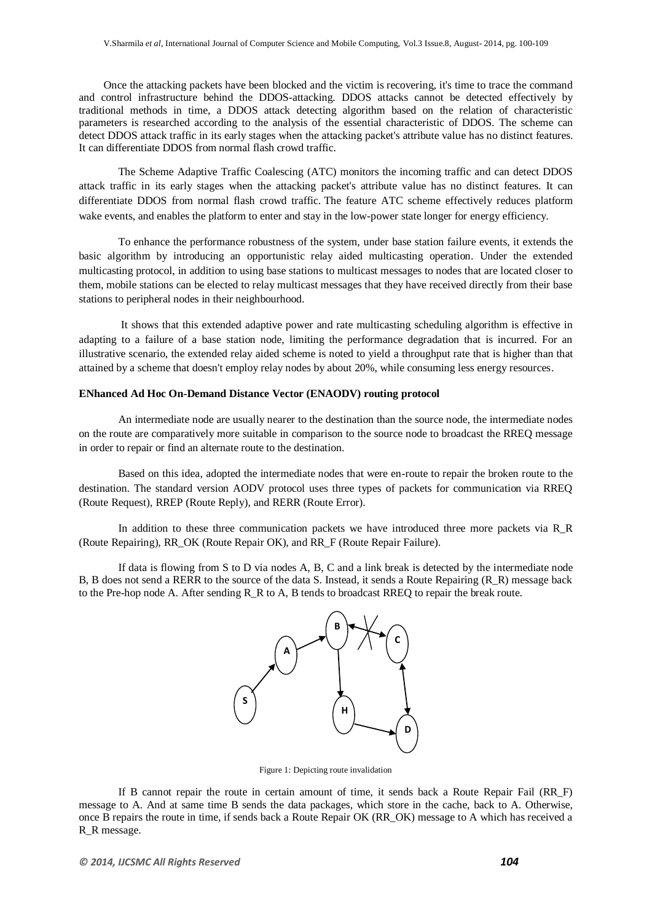Once the attacking packets have been blocked and the victim is recovering, it's time to trace the command and control infrastructure behind the DDOS-attacking. DDOS attacks cannot be detected effectively by traditional methods in time, a DDOS attack detecting algorithm based on the relation of characteristic parameters is researched according to the analysis of the essential characteristic of DDOS. The scheme can detect DDOS attack traffic in its early stages when the attacking packet's attribute value has no distinct features. It can differentiate DDOS from normal flash crowd traffic.

The Scheme Adaptive Traffic Coalescing (ATC) monitors the incoming traffic and can detect DDOS attack traffic in its early stages when the attacking packet's attribute value has no distinct features. It can differentiate DDOS from normal flash crowd traffic. The feature ATC scheme effectively reduces platform wake events, and enables the platform to enter and stay in the low-power state longer for energy efficiency.

To enhance the performance robustness of the system, under base station failure events, it extends the basic algorithm by introducing an opportunistic relay aided multicasting operation. Under the extended multicasting protocol, in addition to using base stations to multicast messages to nodes that are located closer to them, mobile stations can be elected to relay multicast messages that they have received directly from their base stations to peripheral nodes in their neighbourhood.

It shows that this extended adaptive power and rate multicasting scheduling algorithm is effective in adapting to a failure of a base station node, limiting the performance degradation that is incurred. For an illustrative scenario, the extended relay aided scheme is noted to yield a throughput rate that is higher than that attained by a scheme that doesn't employ relay nodes by about 20%, while consuming less energy resources.

#### **ENhanced Ad Hoc On-Demand Distance Vector (ENAODV) routing protocol**

An intermediate node are usually nearer to the destination than the source node, the intermediate nodes on the route are comparatively more suitable in comparison to the source node to broadcast the RREQ message in order to repair or find an alternate route to the destination.

Based on this idea, adopted the intermediate nodes that were en-route to repair the broken route to the destination. The standard version AODV protocol uses three types of packets for communication via RREQ (Route Request), RREP (Route Reply), and RERR (Route Error).

In addition to these three communication packets we have introduced three more packets via R\_R (Route Repairing), RR\_OK (Route Repair OK), and RR\_F (Route Repair Failure).

If data is flowing from S to D via nodes A, B, C and a link break is detected by the intermediate node B, B does not send a RERR to the source of the data S. Instead, it sends a Route Repairing (R\_R) message back to the Pre-hop node A. After sending R\_R to A, B tends to broadcast RREQ to repair the break route.



Figure 1: Depicting route invalidation

If B cannot repair the route in certain amount of time, it sends back a Route Repair Fail (RR\_F) message to A. And at same time B sends the data packages, which store in the cache, back to A. Otherwise, once B repairs the route in time, if sends back a Route Repair OK (RR\_OK) message to A which has received a R\_R message.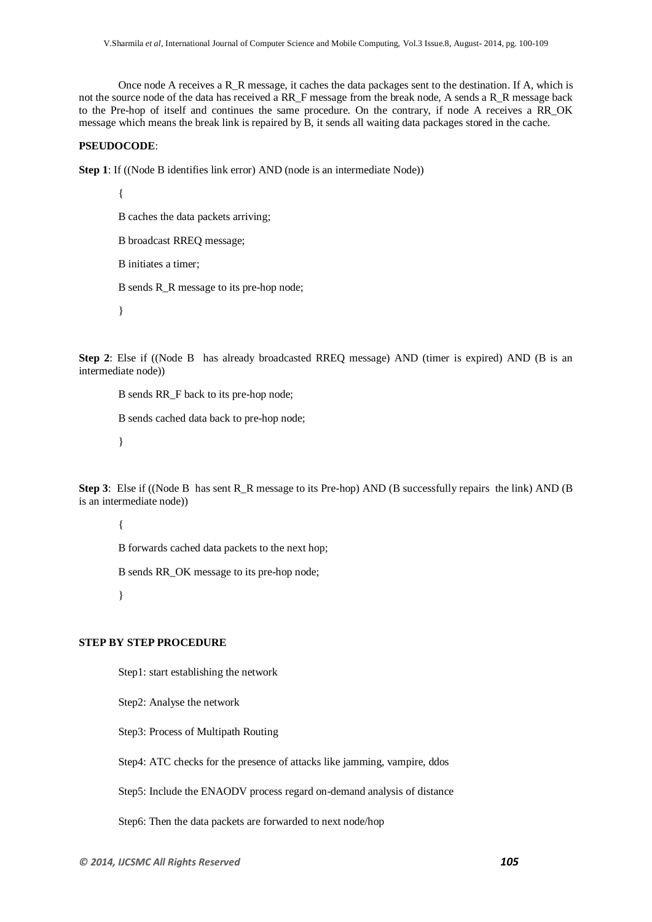Once node A receives a R\_R message, it caches the data packages sent to the destination. If A, which is not the source node of the data has received a RR\_F message from the break node, A sends a R\_R message back to the Pre-hop of itself and continues the same procedure. On the contrary, if node A receives a RR\_OK message which means the break link is repaired by B, it sends all waiting data packages stored in the cache.

#### **PSEUDOCODE**:

**Step 1**: If ((Node B identifies link error) AND (node is an intermediate Node))

{

- B caches the data packets arriving;
- B broadcast RREQ message;
- B initiates a timer;
- B sends R\_R message to its pre-hop node;

}

**Step 2**: Else if ((Node B has already broadcasted RREQ message) AND (timer is expired) AND (B is an intermediate node))

B sends RR\_F back to its pre-hop node;

B sends cached data back to pre-hop node;

}

**Step 3**: Else if ((Node B has sent R, R message to its Pre-hop) AND (B successfully repairs the link) AND (B is an intermediate node))

{

B forwards cached data packets to the next hop;

B sends RR\_OK message to its pre-hop node;

}

# **STEP BY STEP PROCEDURE**

Step1: start establishing the network

Step2: Analyse the network

Step3: Process of Multipath Routing

Step4: ATC checks for the presence of attacks like jamming, vampire, ddos

Step5: Include the ENAODV process regard on-demand analysis of distance

Step6: Then the data packets are forwarded to next node/hop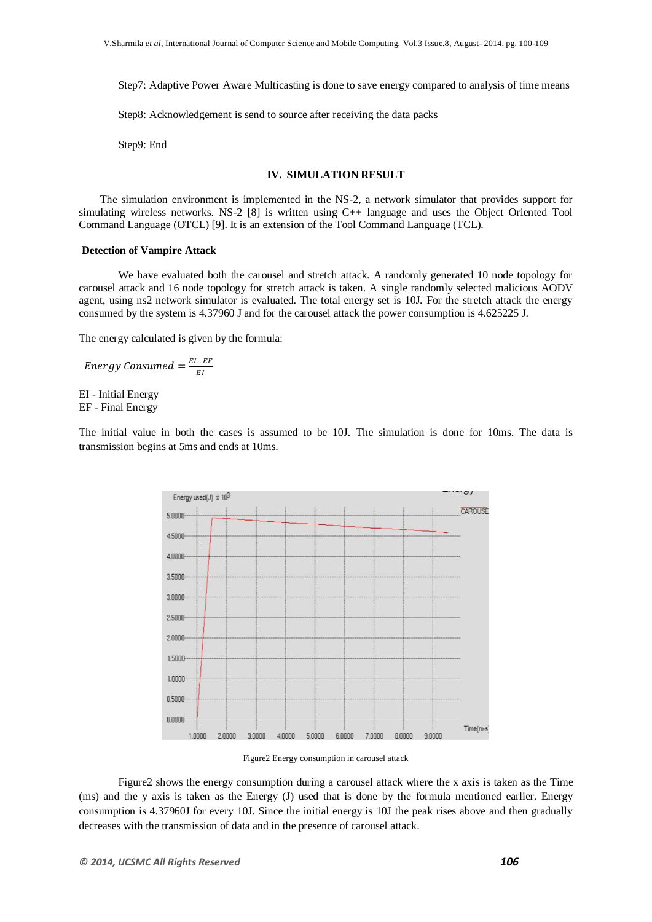Step7: Adaptive Power Aware Multicasting is done to save energy compared to analysis of time means

Step8: Acknowledgement is send to source after receiving the data packs

Step9: End

#### **IV. SIMULATION RESULT**

The simulation environment is implemented in the NS-2, a network simulator that provides support for simulating wireless networks. NS-2 [8] is written using C++ language and uses the Object Oriented Tool Command Language (OTCL) [9]. It is an extension of the Tool Command Language (TCL).

#### **Detection of Vampire Attack**

We have evaluated both the carousel and stretch attack. A randomly generated 10 node topology for carousel attack and 16 node topology for stretch attack is taken. A single randomly selected malicious AODV agent, using ns2 network simulator is evaluated. The total energy set is 10J. For the stretch attack the energy consumed by the system is 4.37960 J and for the carousel attack the power consumption is 4.625225 J.

The energy calculated is given by the formula:

E E

EI - Initial Energy EF - Final Energy

The initial value in both the cases is assumed to be 10J. The simulation is done for 10ms. The data is transmission begins at 5ms and ends at 10ms.



Figure2 Energy consumption in carousel attack

Figure2 shows the energy consumption during a carousel attack where the x axis is taken as the Time (ms) and the y axis is taken as the Energy (J) used that is done by the formula mentioned earlier. Energy consumption is 4.37960J for every 10J. Since the initial energy is 10J the peak rises above and then gradually decreases with the transmission of data and in the presence of carousel attack.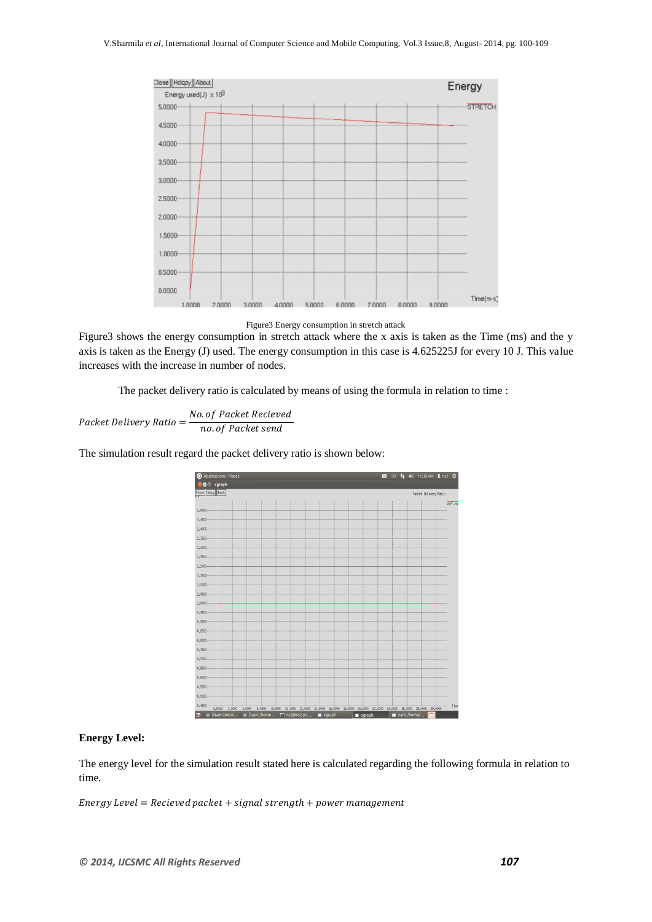

Figure3 Energy consumption in stretch attack

Figure3 shows the energy consumption in stretch attack where the x axis is taken as the Time (ms) and the y axis is taken as the Energy (J) used. The energy consumption in this case is 4.625225J for every 10 J. This value increases with the increase in number of nodes.

The packet delivery ratio is calculated by means of using the formula in relation to time :

Packet Delivery Ratio =  $\frac{N}{\sqrt{N}}$  $\boldsymbol{n}$ 

The simulation result regard the packet delivery ratio is shown below:



## **Energy Level:**

The energy level for the simulation result stated here is calculated regarding the following formula in relation to time.

Energy Level = Recieved packet + signal strength + power management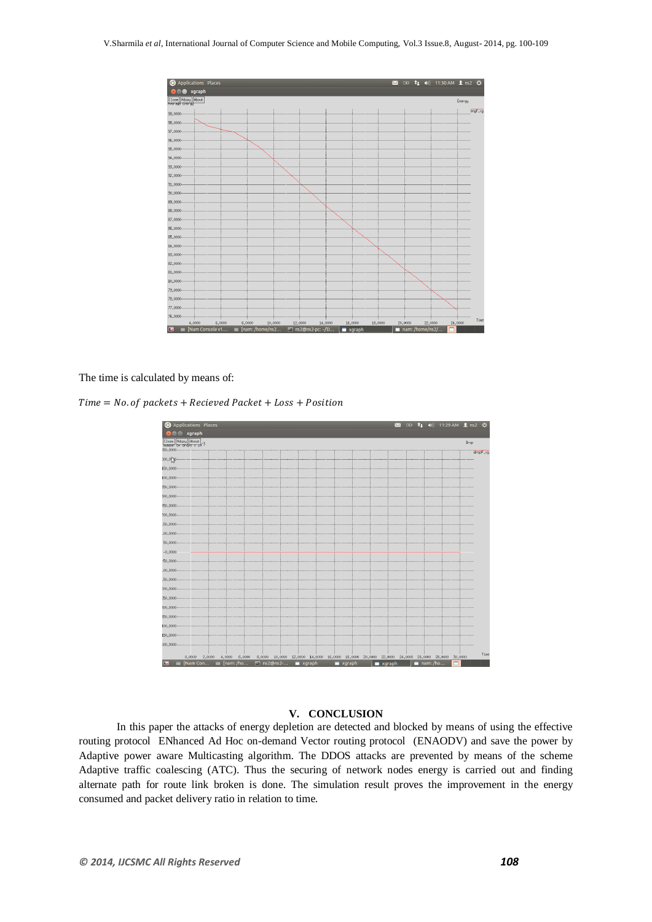

The time is calculated by means of:

 $Time = No. of packets + Recieved Packet + Loss + Position$ 



# **V. CONCLUSION**

In this paper the attacks of energy depletion are detected and blocked by means of using the effective routing protocol ENhanced Ad Hoc on-demand Vector routing protocol (ENAODV) and save the power by Adaptive power aware Multicasting algorithm. The DDOS attacks are prevented by means of the scheme Adaptive traffic coalescing (ATC). Thus the securing of network nodes energy is carried out and finding alternate path for route link broken is done. The simulation result proves the improvement in the energy consumed and packet delivery ratio in relation to time.